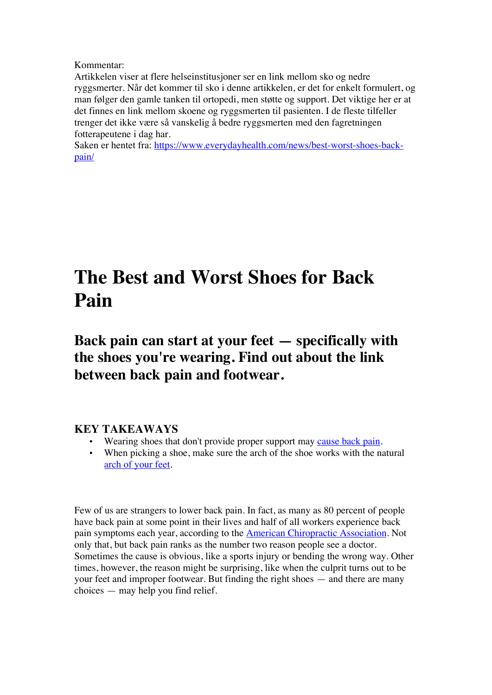Kommentar:

Artikkelen viser at flere helseinstitusjoner ser en link mellom sko og nedre ryggsmerter. Når det kommer til sko i denne artikkelen, er det for enkelt formulert, og man følger den gamle tanken til ortopedi, men støtte og support. Det viktige her er at det finnes en link mellom skoene og ryggsmerten til pasienten. I de fleste tilfeller trenger det ikke være så vanskelig å bedre ryggsmerten med den fagretningen fotterapeutene i dag har.

Saken er hentet fra: https://www.everydayhealth.com/news/best-worst-shoes-backpain/

# **The Best and Worst Shoes for Back Pain**

**Back pain can start at your feet — specifically with the shoes you're wearing. Find out about the link between back pain and footwear.**

# **KEY TAKEAWAYS**

- Wearing shoes that don't provide proper support may cause back pain.
- When picking a shoe, make sure the arch of the shoe works with the natural arch of your feet.

Few of us are strangers to lower back pain. In fact, as many as 80 percent of people have back pain at some point in their lives and half of all workers experience back pain symptoms each year, according to the American Chiropractic Association. Not only that, but back pain ranks as the number two reason people see a doctor. Sometimes the cause is obvious, like a sports injury or bending the wrong way. Other times, however, the reason might be surprising, like when the culprit turns out to be your feet and improper footwear. But finding the right shoes — and there are many choices — may help you find relief.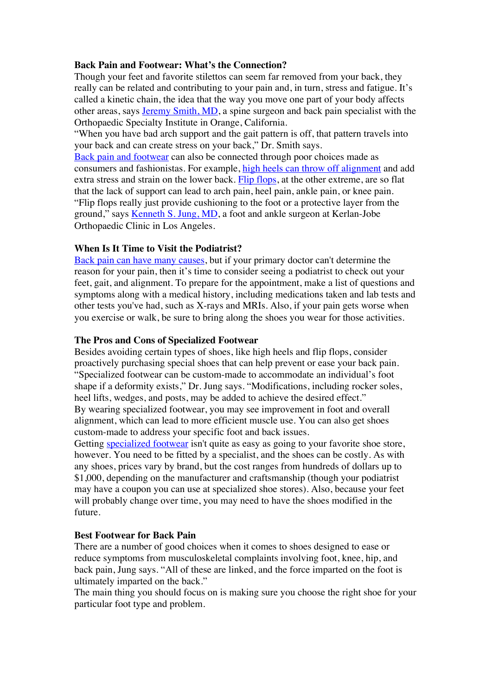## **Back Pain and Footwear: What's the Connection?**

Though your feet and favorite stilettos can seem far removed from your back, they really can be related and contributing to your pain and, in turn, stress and fatigue. It's called a kinetic chain, the idea that the way you move one part of your body affects other areas, says Jeremy Smith, MD, a spine surgeon and back pain specialist with the Orthopaedic Specialty Institute in Orange, California.

"When you have bad arch support and the gait pattern is off, that pattern travels into your back and can create stress on your back," Dr. Smith says.

Back pain and footwear can also be connected through poor choices made as consumers and fashionistas. For example, high heels can throw off alignment and add extra stress and strain on the lower back. Flip flops, at the other extreme, are so flat that the lack of support can lead to arch pain, heel pain, ankle pain, or knee pain. "Flip flops really just provide cushioning to the foot or a protective layer from the ground," says Kenneth S. Jung, MD, a foot and ankle surgeon at Kerlan-Jobe Orthopaedic Clinic in Los Angeles.

### **When Is It Time to Visit the Podiatrist?**

Back pain can have many causes, but if your primary doctor can't determine the reason for your pain, then it's time to consider seeing a podiatrist to check out your feet, gait, and alignment. To prepare for the appointment, make a list of questions and symptoms along with a medical history, including medications taken and lab tests and other tests you've had, such as X-rays and MRIs. Also, if your pain gets worse when you exercise or walk, be sure to bring along the shoes you wear for those activities.

#### **The Pros and Cons of Specialized Footwear**

Besides avoiding certain types of shoes, like high heels and flip flops, consider proactively purchasing special shoes that can help prevent or ease your back pain. "Specialized footwear can be custom-made to accommodate an individual's foot shape if a deformity exists," Dr. Jung says. "Modifications, including rocker soles, heel lifts, wedges, and posts, may be added to achieve the desired effect." By wearing specialized footwear, you may see improvement in foot and overall alignment, which can lead to more efficient muscle use. You can also get shoes custom-made to address your specific foot and back issues.

Getting specialized footwear isn't quite as easy as going to your favorite shoe store, however. You need to be fitted by a specialist, and the shoes can be costly. As with any shoes, prices vary by brand, but the cost ranges from hundreds of dollars up to \$1,000, depending on the manufacturer and craftsmanship (though your podiatrist may have a coupon you can use at specialized shoe stores). Also, because your feet will probably change over time, you may need to have the shoes modified in the future.

#### **Best Footwear for Back Pain**

There are a number of good choices when it comes to shoes designed to ease or reduce symptoms from musculoskeletal complaints involving foot, knee, hip, and back pain, Jung says. "All of these are linked, and the force imparted on the foot is ultimately imparted on the back."

The main thing you should focus on is making sure you choose the right shoe for your particular foot type and problem.